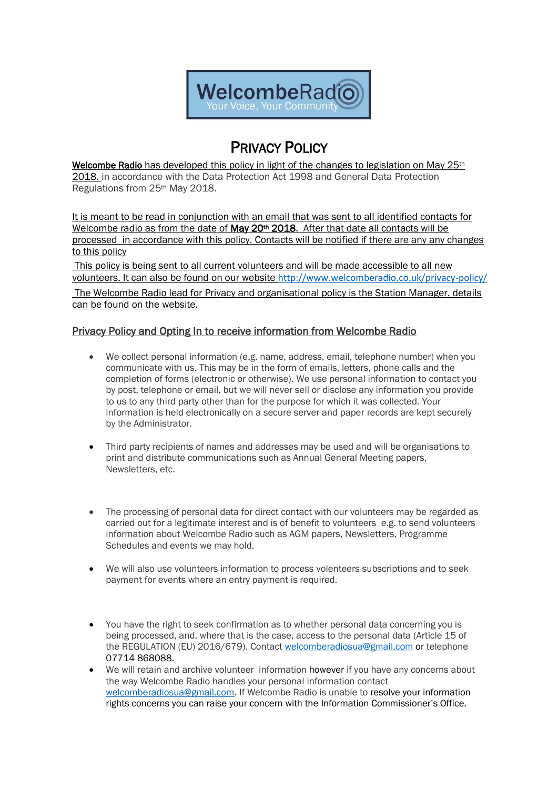

# PRIVACY POLICY

Welcombe Radio has developed this policy in light of the changes to legislation on May  $25<sup>th</sup>$ 2018. in accordance with the Data Protection Act 1998 and General Data Protection Regulations from 25th May 2018.

It is meant to be read in conjunction with an email that was sent to all identified contacts for Welcombe radio as from the date of May  $20<sup>th</sup>$  2018. After that date all contacts will be processed in accordance with this policy. Contacts will be notified if there are any any changes to this policy

This policy is being sent to all current volunteers and will be made accessible to all new volunteers. It can also be found on our website <http://www.welcomberadio.co.uk/privacy-policy/> The Welcombe Radio lead for Privacy and organisational policy is the Station Manager. details can be found on the website.

## Privacy Policy and Opting In to receive information from Welcombe Radio

- We collect personal information (e.g. name, address, email, telephone number) when you communicate with us. This may be in the form of emails, letters, phone calls and the completion of forms (electronic or otherwise). We use personal information to contact you by post, telephone or email, but we will never sell or disclose any information you provide to us to any third party other than for the purpose for which it was collected. Your information is held electronically on a secure server and paper records are kept securely by the Administrator.
- Third party recipients of names and addresses may be used and will be organisations to print and distribute communications such as Annual General Meeting papers, Newsletters, etc.
- The processing of personal data for direct contact with our volunteers may be regarded as carried out for a legitimate interest and is of benefit to volunteers e.g. to send volunteers information about Welcombe Radio such as AGM papers, Newsletters, Programme Schedules and events we may hold.
- We will also use volunteers information to process volenteers subscriptions and to seek payment for events where an entry payment is required.
- You have the right to seek confirmation as to whether personal data concerning you is being processed, and, where that is the case, access to the personal data (Article 15 of the REGULATION (EU) 2016/679). Contact [welcomberadiosua@gmail.com](mailto:welcomberadiosua@gmail.com) or telephone 07714 868088.
- We will retain and archive volunteer information however if you have any concerns about the way Welcombe Radio handles your personal information contac[t](mailto:%20welcomberadiosua@gmail.com)  [welcomberadiosua@gmail.com.](mailto:%20welcomberadiosua@gmail.com) If Welcombe Radio is unable to resolve your information rights concerns you can raise your concern with the [Information Commissioner's Office](https://ico.org.uk/concerns).